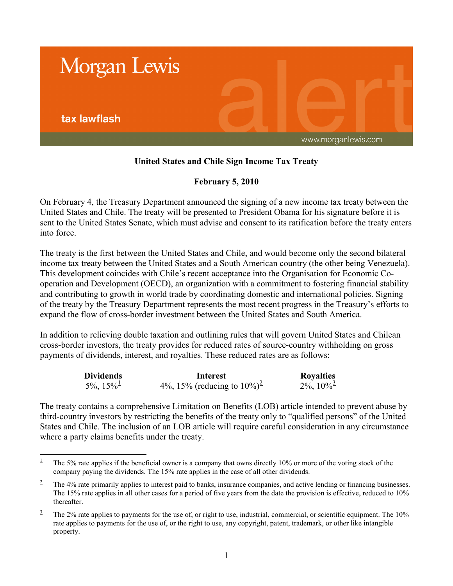

## **United States and Chile Sign Income Tax Treaty**

## **February 5, 2010**

On February 4, the Treasury Department announced the signing of a new income tax treaty between the United States and Chile. The treaty will be presented to President Obama for his signature before it is sent to the United States Senate, which must advise and consent to its ratification before the treaty enters into force.

The treaty is the first between the United States and Chile, and would become only the second bilateral income tax treaty between the United States and a South American country (the other being Venezuela). This development coincides with Chile's recent acceptance into the Organisation for Economic Cooperation and Development (OECD), an organization with a commitment to fostering financial stability and contributing to growth in world trade by coordinating domestic and international policies. Signing of the treaty by the Treasury Department represents the most recent progress in the Treasury's efforts to expand the flow of cross-border investment between the United States and South America.

In addition to relieving double taxation and outlining rules that will govern United States and Chilean cross-border investors, the treaty provides for reduced rates of source-country withholding on gross payments of dividends, interest, and royalties. These reduced rates are as follows:

| <b>Dividends</b>            | Interest                                     | <b>Royalties</b>            |
|-----------------------------|----------------------------------------------|-----------------------------|
| $5\%$ , $15\%$ <sup>1</sup> | 4\%, 15\% (reducing to $10\%$ ) <sup>2</sup> | $2\%$ , $10\%$ <sup>3</sup> |

The treaty contains a comprehensive Limitation on Benefits (LOB) article intended to prevent abuse by third-country investors by restricting the benefits of the treaty only to "qualified persons" of the United States and Chile. The inclusion of an LOB article will require careful consideration in any circumstance where a party claims benefits under the treaty.

 $\overline{a}$ <sup>1</sup> The 5% rate applies if the beneficial owner is a company that owns directly 10% or more of the voting stock of the company paying the dividends. The 15% rate applies in the case of all other dividends.

 $2^2$  The 4% rate primarily applies to interest paid to banks, insurance companies, and active lending or financing businesses. The 15% rate applies in all other cases for a period of five years from the date the provision is effective, reduced to 10% thereafter.

 $3$  The 2% rate applies to payments for the use of, or right to use, industrial, commercial, or scientific equipment. The 10% rate applies to payments for the use of, or the right to use, any copyright, patent, trademark, or other like intangible property.